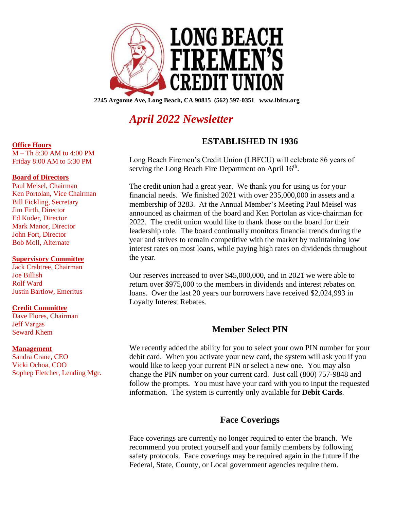

**2245 Argonne Ave, Long Beach, CA 90815 (562) 597-0351 www.lbfcu.org**

# *April 2022 Newsletter*

## **ESTABLISHED IN 1936**

Long Beach Firemen's Credit Union (LBFCU) will celebrate 86 years of serving the Long Beach Fire Department on April 16<sup>th</sup>.

The credit union had a great year. We thank you for using us for your financial needs. We finished 2021 with over 235,000,000 in assets and a membership of 3283. At the Annual Member's Meeting Paul Meisel was announced as chairman of the board and Ken Portolan as vice-chairman for 2022. The credit union would like to thank those on the board for their leadership role. The board continually monitors financial trends during the year and strives to remain competitive with the market by maintaining low interest rates on most loans, while paying high rates on dividends throughout the year.

Our reserves increased to over \$45,000,000, and in 2021 we were able to return over \$975,000 to the members in dividends and interest rebates on loans. Over the last 20 years our borrowers have received \$2,024,993 in Loyalty Interest Rebates.

## **Member Select PIN**

We recently added the ability for you to select your own PIN number for your debit card. When you activate your new card, the system will ask you if you would like to keep your current PIN or select a new one. You may also change the PIN number on your current card. Just call (800) 757-9848 and follow the prompts. You must have your card with you to input the requested information. The system is currently only available for **Debit Cards**.

## **Face Coverings**

Face coverings are currently no longer required to enter the branch. We recommend you protect yourself and your family members by following safety protocols. Face coverings may be required again in the future if the Federal, State, County, or Local government agencies require them.

### **Office Hours**

M – Th 8:30 AM to 4:00 PM Friday 8:00 AM to 5:30 PM

### **Board of Directors**

Paul Meisel, Chairman Ken Portolan, Vice Chairman Bill Fickling, Secretary Jim Firth, Director Ed Kuder, Director Mark Manor, Director John Fort, Director Bob Moll, Alternate

### **Supervisory Committee**

Jack Crabtree, Chairman Joe Billish Rolf Ward Justin Bartlow, Emeritus

### **Credit Committee**

Dave Flores, Chairman Jeff Vargas Seward Khem

### **Management**

Sandra Crane, CEO Vicki Ochoa, COO Sophep Fletcher, Lending Mgr.